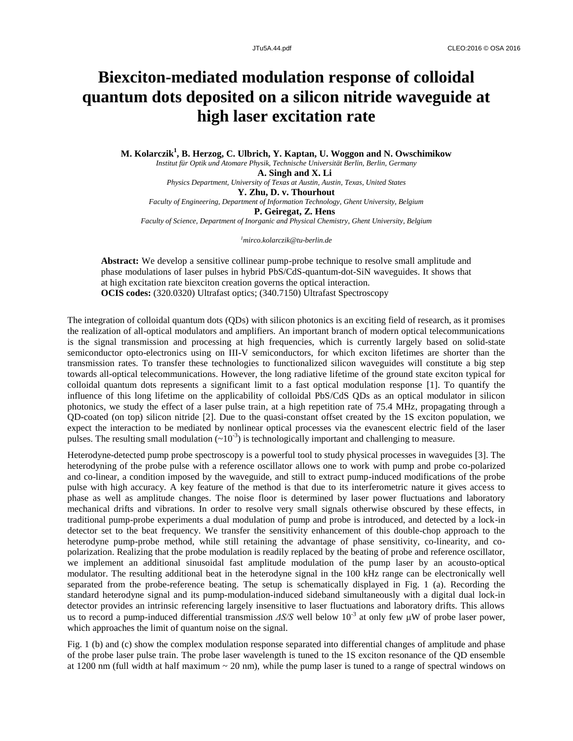## **Biexciton-mediated modulation response of colloidal quantum dots deposited on a silicon nitride waveguide at high laser excitation rate**

**M. Kolarczik<sup>1</sup> , B. Herzog, C. Ulbrich, Y. Kaptan, U. Woggon and N. Owschimikow** *Institut für Optik und Atomare Physik, Technische Universität Berlin, Berlin, Germany* **A. Singh and X. Li** *Physics Department, University of Texas at Austin, Austin, Texas, United States* **Y. Zhu, D. v. Thourhout** *Faculty of Engineering, Department of Information Technology, Ghent University, Belgium* **P. Geiregat, Z. Hens** *Faculty of Science, Department of Inorganic and Physical Chemistry, Ghent University, Belgium*

*<sup>1</sup>mirco.kolarczik@tu-berlin.de*

**Abstract:** We develop a sensitive collinear pump-probe technique to resolve small amplitude and phase modulations of laser pulses in hybrid PbS/CdS-quantum-dot-SiN waveguides. It shows that at high excitation rate biexciton creation governs the optical interaction. **OCIS codes:** (320.0320) Ultrafast optics; (340.7150) Ultrafast Spectroscopy

The integration of colloidal quantum dots (QDs) with silicon photonics is an exciting field of research, as it promises the realization of all-optical modulators and amplifiers. An important branch of modern optical telecommunications is the signal transmission and processing at high frequencies, which is currently largely based on solid-state semiconductor opto-electronics using on III-V semiconductors, for which exciton lifetimes are shorter than the transmission rates. To transfer these technologies to functionalized silicon waveguides will constitute a big step towards all-optical telecommunications. However, the long radiative lifetime of the ground state exciton typical for colloidal quantum dots represents a significant limit to a fast optical modulation response [1]. To quantify the influence of this long lifetime on the applicability of colloidal PbS/CdS QDs as an optical modulator in silicon photonics, we study the effect of a laser pulse train, at a high repetition rate of 75.4 MHz, propagating through a QD-coated (on top) silicon nitride [2]. Due to the quasi-constant offset created by the 1S exciton population, we expect the interaction to be mediated by nonlinear optical processes via the evanescent electric field of the laser pulses. The resulting small modulation  $(\sim 10^{-3})$  is technologically important and challenging to measure.

Heterodyne-detected pump probe spectroscopy is a powerful tool to study physical processes in waveguides [3]. The heterodyning of the probe pulse with a reference oscillator allows one to work with pump and probe co-polarized and co-linear, a condition imposed by the waveguide, and still to extract pump-induced modifications of the probe pulse with high accuracy. A key feature of the method is that due to its interferometric nature it gives access to phase as well as amplitude changes. The noise floor is determined by laser power fluctuations and laboratory mechanical drifts and vibrations. In order to resolve very small signals otherwise obscured by these effects, in traditional pump-probe experiments a dual modulation of pump and probe is introduced, and detected by a lock-in detector set to the beat frequency. We transfer the sensitivity enhancement of this double-chop approach to the heterodyne pump-probe method, while still retaining the advantage of phase sensitivity, co-linearity, and copolarization. Realizing that the probe modulation is readily replaced by the beating of probe and reference oscillator, we implement an additional sinusoidal fast amplitude modulation of the pump laser by an acousto-optical modulator. The resulting additional beat in the heterodyne signal in the 100 kHz range can be electronically well separated from the probe-reference beating. The setup is schematically displayed in Fig. 1 (a). Recording the standard heterodyne signal and its pump-modulation-induced sideband simultaneously with a digital dual lock-in detector provides an intrinsic referencing largely insensitive to laser fluctuations and laboratory drifts. This allows us to record a pump-induced differential transmission  $\Delta S/S$  well below  $10^{-3}$  at only few  $\mu$ W of probe laser power, which approaches the limit of quantum noise on the signal.

Fig. 1 (b) and (c) show the complex modulation response separated into differential changes of amplitude and phase of the probe laser pulse train. The probe laser wavelength is tuned to the 1S exciton resonance of the QD ensemble at 1200 nm (full width at half maximum  $\sim$  20 nm), while the pump laser is tuned to a range of spectral windows on